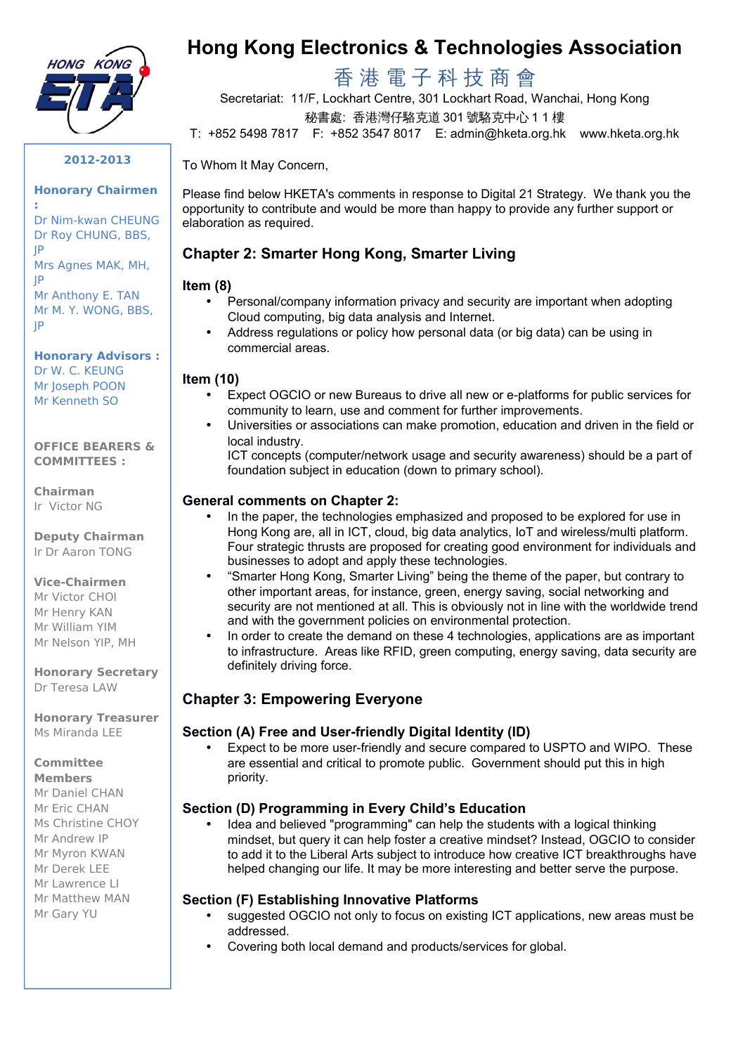

**2012-2013** 

#### **Honorary Chairmen**

 Dr Nim-kwan CHEUNG Dr Roy CHUNG, BBS, Mrs Agnes MAK, MH, Mr Anthony E. TAN Mr M. Y. WONG, BBS, **:**  JP JP

JP

#### **Honorary Advisors :**  Dr W. C. KEUNG Mr Joseph POON

Mr Kenneth SO

#### **OFFICE BEARERS & COMMITTEES :**

**Chairman**  Ir Victor NG

**Deputy Chairman**  Ir Dr Aaron TONG

#### **Vice-Chairmen**

Mr Victor CHOI Mr Henry KAN Mr William YIM Mr Nelson YIP, MH

 Dr Teresa LAW **Honorary Secretary** 

 Ms Miranda LEE **Honorary Treasurer** 

#### **Committee**

- **Members**  Mr Daniel CHAN
- Mr Eric CHAN
- Ms Christine CHOY
- Mr Andrew IP
- Mr Myron KWAN
- Mr Derek LEE
- Mr Lawrence LI
- Mr Matthew MAN
- Mr Gary YU

# **Hong Kong Electronics & Technologies Association**

# 香 港 電 子 科 技 商 會

 秘書處: 香港灣仔駱克道 301 號駱克中心 1 1 樓 Secretariat: 11/F, Lockhart Centre, 301 Lockhart Road, Wanchai, Hong Kong

T: +852 5498 7817 F: +852 3547 8017 E: admin@hketa.org.hk www.hketa.org.hk

#### To Whom It May Concern,

 Please find below HKETA's comments in response to Digital 21 Strategy. We thank you the opportunity to contribute and would be more than happy to provide any further support or elaboration as required.

# **Chapter 2: Smarter Hong Kong, Smarter Living**

# **Item (8)**

- Personal/company information privacy and security are important when adopting Cloud computing, big data analysis and Internet.
- Address regulations or policy how personal data (or big data) can be using in commercial areas.

# **Item (10)**

- • Expect OGCIO or new Bureaus to drive all new or e-platforms for public services for community to learn, use and comment for further improvements.
- • Universities or associations can make promotion, education and driven in the field or local industry.
	- ICT concepts (computer/network usage and security awareness) should be a part of foundation subject in education (down to primary school).

# **General comments on Chapter 2:**

- In the paper, the technologies emphasized and proposed to be explored for use in Hong Kong are, all in ICT, cloud, big data analytics, IoT and wireless/multi platform. Four strategic thrusts are proposed for creating good environment for individuals and businesses to adopt and apply these technologies.
- • "Smarter Hong Kong, Smarter Living" being the theme of the paper, but contrary to other important areas, for instance, green, energy saving, social networking and security are not mentioned at all. This is obviously not in line with the worldwide trend and with the government policies on environmental protection.
- In order to create the demand on these 4 technologies, applications are as important to infrastructure. Areas like RFID, green computing, energy saving, data security are definitely driving force.

# **Chapter 3: Empowering Everyone**

# **Section (A) Free and User-friendly Digital Identity (ID)**

• Expect to be more user-friendly and secure compared to USPTO and WIPO. These are essential and critical to promote public. Government should put this in high priority.

# **Section (D) Programming in Every Child's Education**

• Idea and believed "programming" can help the students with a logical thinking mindset, but query it can help foster a creative mindset? Instead, OGCIO to consider to add it to the Liberal Arts subject to introduce how creative ICT breakthroughs have helped changing our life. It may be more interesting and better serve the purpose.

#### **Section (F) Establishing Innovative Platforms**

- suggested OGCIO not only to focus on existing ICT applications, new areas must be addressed.
- Covering both local demand and products/services for global.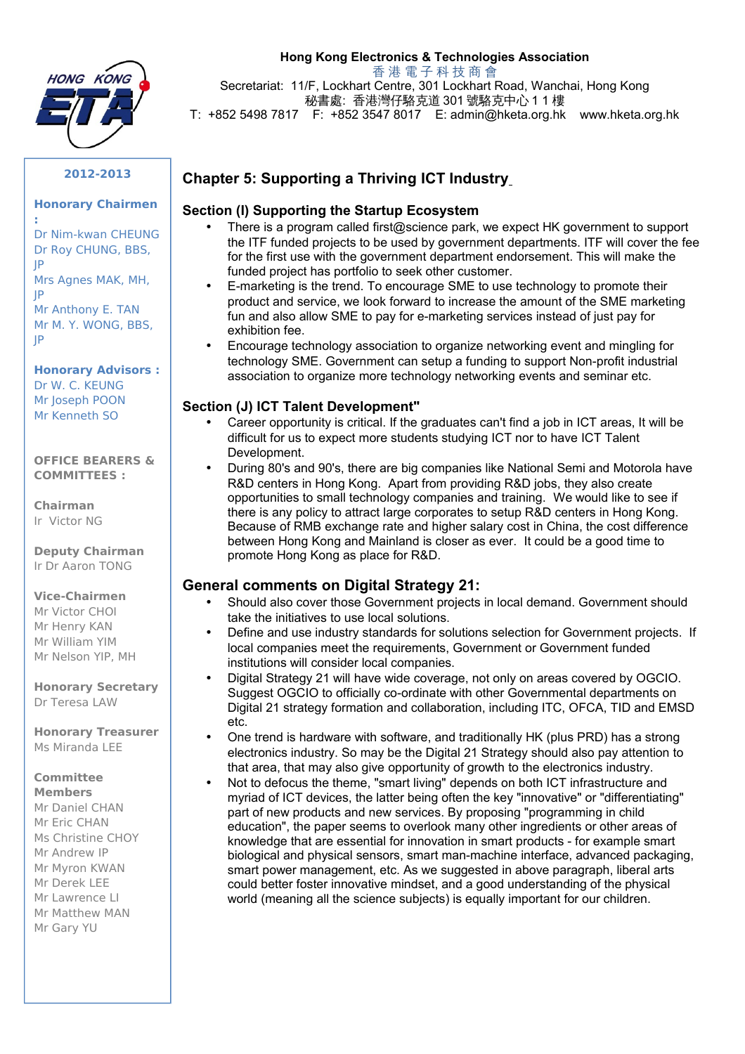

# **Hong Kong Electronics & Technologies Association**

香 港 電 子 科 技 商 會

 Secretariat: 11/F, Lockhart Centre, 301 Lockhart Road, Wanchai, Hong Kong 秘書處: 香港灣仔駱克道 301 號駱克中心 1 1 樓

T: +852 5498 7817 F: +852 3547 8017 E: admin@hketa.org.hk www.hketa.org.hk

#### **2012-2013**

#### **Honorary Chairmen**

 Dr Nim-kwan CHEUNG Dr Roy CHUNG, BBS, Mrs Agnes MAK, MH, Mr Anthony E. TAN Mr M. Y. WONG, BBS, **:**  JP JP JP

 **Honorary Advisors :**  Dr W. C. KEUNG Mr Joseph POON Mr Kenneth SO

#### **OFFICE BEARERS & COMMITTEES :**

**Chairman**  Ir Victor NG

**Deputy Chairman**  Ir Dr Aaron TONG

# **Vice-Chairmen**

Mr Victor CHOI Mr Henry KAN Mr William YIM Mr Nelson YIP, MH

 Dr Teresa LAW **Honorary Secretary** 

 Ms Miranda LEE **Honorary Treasurer** 

# **Committee**

 Ms Christine CHOY **Members**  Mr Daniel CHAN Mr Eric CHAN Mr Andrew IP Mr Myron KWAN Mr Derek LEE Mr Lawrence LI Mr Matthew MAN Mr Gary YU

# **Section (I) Supporting the Startup Ecosystem**

 **Chapter 5: Supporting a Thriving ICT Industry** 

- • There is a program called first@science park, we expect HK government to support the ITF funded projects to be used by government departments. ITF will cover the fee for the first use with the government department endorsement. This will make the funded project has portfolio to seek other customer.
- • E-marketing is the trend. To encourage SME to use technology to promote their product and service, we look forward to increase the amount of the SME marketing fun and also allow SME to pay for e-marketing services instead of just pay for exhibition fee.
- Encourage technology association to organize networking event and mingling for technology SME. Government can setup a funding to support Non-profit industrial association to organize more technology networking events and seminar etc.

#### **Section (J) ICT Talent Development"**

- Career opportunity is critical. If the graduates can't find a job in ICT areas, It will be difficult for us to expect more students studying ICT nor to have ICT Talent Development.
- During 80's and 90's, there are big companies like National Semi and Motorola have R&D centers in Hong Kong. Apart from providing R&D jobs, they also create opportunities to small technology companies and training. We would like to see if there is any policy to attract large corporates to setup R&D centers in Hong Kong. Because of RMB exchange rate and higher salary cost in China, the cost difference between Hong Kong and Mainland is closer as ever. It could be a good time to promote Hong Kong as place for R&D.

#### **General comments on Digital Strategy 21:**

- Should also cover those Government projects in local demand. Government should take the initiatives to use local solutions.
- Define and use industry standards for solutions selection for Government projects. If local companies meet the requirements, Government or Government funded institutions will consider local companies.
- • Digital Strategy 21 will have wide coverage, not only on areas covered by OGCIO. Suggest OGCIO to officially co-ordinate with other Governmental departments on Digital 21 strategy formation and collaboration, including ITC, OFCA, TID and EMSD etc.
- One trend is hardware with software, and traditionally HK (plus PRD) has a strong electronics industry. So may be the Digital 21 Strategy should also pay attention to that area, that may also give opportunity of growth to the electronics industry.
- Not to defocus the theme, "smart living" depends on both ICT infrastructure and myriad of ICT devices, the latter being often the key "innovative" or "differentiating" part of new products and new services. By proposing "programming in child education", the paper seems to overlook many other ingredients or other areas of knowledge that are essential for innovation in smart products - for example smart biological and physical sensors, smart man-machine interface, advanced packaging, smart power management, etc. As we suggested in above paragraph, liberal arts could better foster innovative mindset, and a good understanding of the physical world (meaning all the science subjects) is equally important for our children.